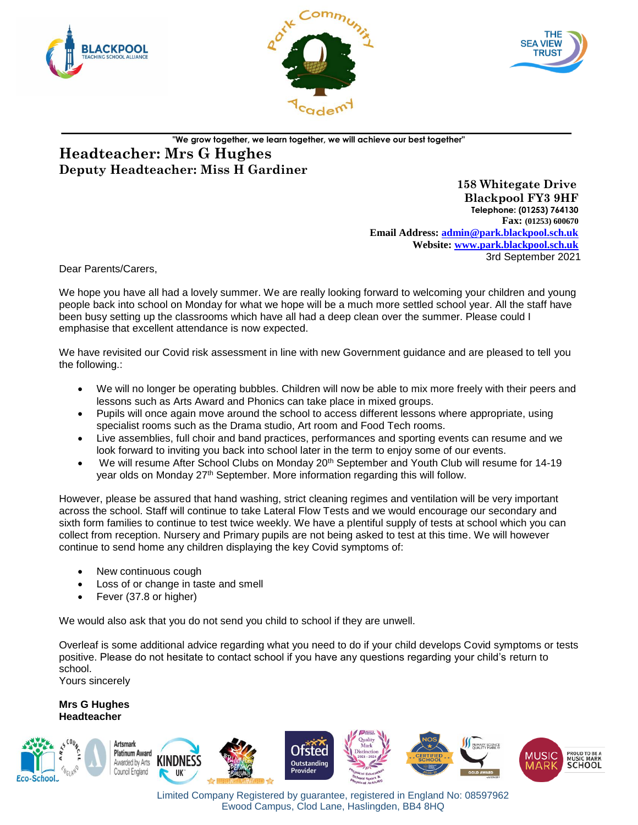





# **"We grow together, we learn together, we will achieve our best together" Headteacher: Mrs G Hughes Deputy Headteacher: Miss H Gardiner**

 **158 Whitegate Drive Blackpool FY3 9HF Telephone: (01253) 764130 Fax: (01253) 600670 Email Address: [admin@park.blackpool.sch.uk](mailto:admin@park.blackpool.sch.uk) Website: www.park.blackpool.sch.uk** 3rd September 2021

Dear Parents/Carers,

We hope you have all had a lovely summer. We are really looking forward to welcoming your children and young people back into school on Monday for what we hope will be a much more settled school year. All the staff have been busy setting up the classrooms which have all had a deep clean over the summer. Please could I emphasise that excellent attendance is now expected.

We have revisited our Covid risk assessment in line with new Government guidance and are pleased to tell you the following.:

- We will no longer be operating bubbles. Children will now be able to mix more freely with their peers and lessons such as Arts Award and Phonics can take place in mixed groups.
- Pupils will once again move around the school to access different lessons where appropriate, using specialist rooms such as the Drama studio, Art room and Food Tech rooms.
- Live assemblies, full choir and band practices, performances and sporting events can resume and we look forward to inviting you back into school later in the term to enjoy some of our events.
- We will resume After School Clubs on Monday 20<sup>th</sup> September and Youth Club will resume for 14-19 year olds on Monday 27<sup>th</sup> September. More information regarding this will follow.

However, please be assured that hand washing, strict cleaning regimes and ventilation will be very important across the school. Staff will continue to take Lateral Flow Tests and we would encourage our secondary and sixth form families to continue to test twice weekly. We have a plentiful supply of tests at school which you can collect from reception. Nursery and Primary pupils are not being asked to test at this time. We will however continue to send home any children displaying the key Covid symptoms of:

- New continuous cough
- Loss of or change in taste and smell
- Fever (37.8 or higher)

We would also ask that you do not send you child to school if they are unwell.

Overleaf is some additional advice regarding what you need to do if your child develops Covid symptoms or tests positive. Please do not hesitate to contact school if you have any questions regarding your child's return to school. Yours sincerely

**Mrs G Hughes Headteacher**



Limited Company Registered by guarantee, registered in England No: 08597962 Ewood Campus, Clod Lane, Haslingden, BB4 8HQ